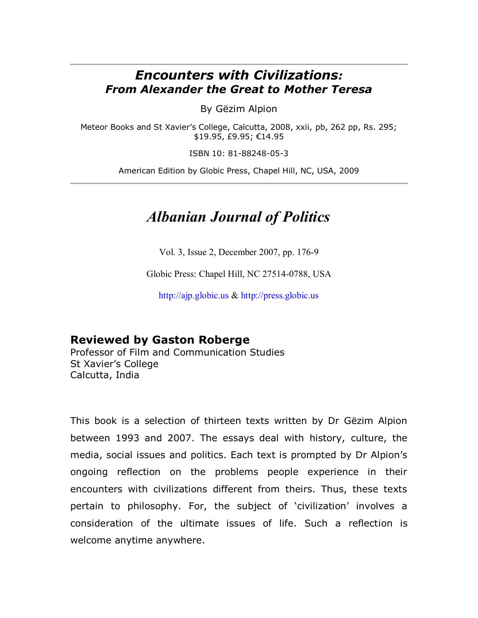## *Encounters with Civilizations: From Alexander the Great to Mother Teresa*

By Gëzim Alpion

Meteor Books and St Xavier's College, Calcutta, 2008, xxii, pb, 262 pp, Rs. 295; \$19.95, £9.95; €14.95

ISBN 10: 81-88248-05-3

American Edition by Globic Press, Chapel Hill, NC, USA, 2009

## *Albanian Journal of Politics*

Vol. 3, Issue 2, December 2007, pp. 176-9

Globic Press: Chapel Hill, NC 27514-0788, USA

[http://ajp.globic.us](http://ajp.globic.us/) & [http://press.globic.us](http://press.globic.us/)

## **Reviewed by Gaston Roberge**

Professor of Film and Communication Studies St Xavier's College Calcutta, India

This book is a selection of thirteen texts written by Dr Gëzim Alpion between 1993 and 2007. The essays deal with history, culture, the media, social issues and politics. Each text is prompted by Dr Alpion's ongoing reflection on the problems people experience in their encounters with civilizations different from theirs. Thus, these texts pertain to philosophy. For, the subject of 'civilization' involves a consideration of the ultimate issues of life. Such a reflection is welcome anytime anywhere.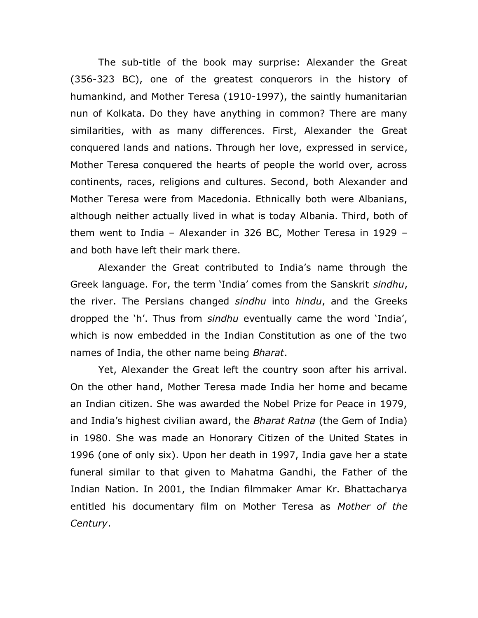The sub-title of the book may surprise: Alexander the Great (356-323 BC), one of the greatest conquerors in the history of humankind, and Mother Teresa (1910-1997), the saintly humanitarian nun of Kolkata. Do they have anything in common? There are many similarities, with as many differences. First, Alexander the Great conquered lands and nations. Through her love, expressed in service, Mother Teresa conquered the hearts of people the world over, across continents, races, religions and cultures. Second, both Alexander and Mother Teresa were from Macedonia. Ethnically both were Albanians, although neither actually lived in what is today Albania. Third, both of them went to India – Alexander in 326 BC, Mother Teresa in 1929 – and both have left their mark there.

Alexander the Great contributed to India's name through the Greek language. For, the term 'India' comes from the Sanskrit *sindhu*, the river. The Persians changed *sindhu* into *hindu*, and the Greeks dropped the 'h'. Thus from *sindhu* eventually came the word 'India', which is now embedded in the Indian Constitution as one of the two names of India, the other name being *Bharat*.

Yet, Alexander the Great left the country soon after his arrival. On the other hand, Mother Teresa made India her home and became an Indian citizen. She was awarded the Nobel Prize for Peace in 1979, and [India](../../../Program%20Files/GuruNet/GuruNetCache/atomicalookup_2222_%5bIndia%5d)'s highest civilian award, the *Bharat Ratna* (the Gem of India) in 1980. She was made an [Honorary Citizen of the United States](../../../Program%20Files/GuruNet/GuruNetCache/atomicalookup_2222_%5bHonorary%20Citizen%20of%20the%20United%20States%5d) in [1996](../../../Program%20Files/GuruNet/GuruNetCache/atomicalookup_2222_%5b1996%5d) (one of only six). Upon her death in 1997, India gave her a state funeral similar to that given to Mahatma Gandhi, the Father of the Indian Nation. In 2001, the Indian filmmaker Amar Kr. Bhattacharya entitled his documentary film on Mother Teresa as *Mother of the Century*.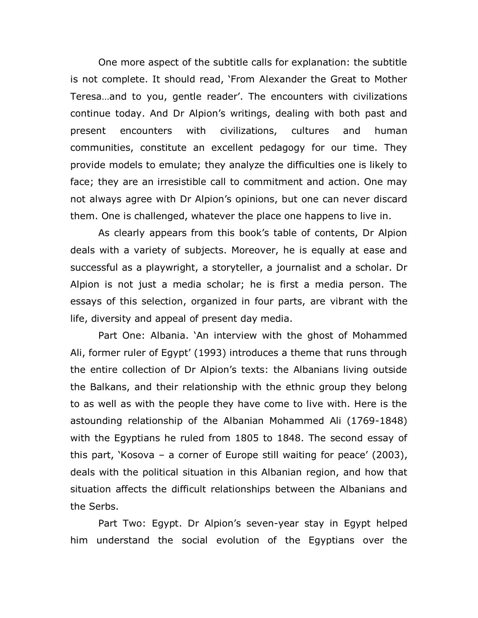One more aspect of the subtitle calls for explanation: the subtitle is not complete. It should read, 'From Alexander the Great to Mother Teresa…and to you, gentle reader'. The encounters with civilizations continue today. And Dr Alpion's writings, dealing with both past and present encounters with civilizations, cultures and human communities, constitute an excellent pedagogy for our time. They provide models to emulate; they analyze the difficulties one is likely to face; they are an irresistible call to commitment and action. One may not always agree with Dr Alpion's opinions, but one can never discard them. One is challenged, whatever the place one happens to live in.

As clearly appears from this book's table of contents, Dr Alpion deals with a variety of subjects. Moreover, he is equally at ease and successful as a playwright, a storyteller, a journalist and a scholar. Dr Alpion is not just a media scholar; he is first a media person. The essays of this selection, organized in four parts, are vibrant with the life, diversity and appeal of present day media.

Part One: Albania. 'An interview with the ghost of Mohammed Ali, former ruler of Egypt' (1993) introduces a theme that runs through the entire collection of Dr Alpion's texts: the Albanians living outside the Balkans, and their relationship with the ethnic group they belong to as well as with the people they have come to live with. Here is the astounding relationship of the Albanian Mohammed Ali (1769-1848) with the Egyptians he ruled from 1805 to 1848. The second essay of this part, 'Kosova – a corner of Europe still waiting for peace' (2003), deals with the political situation in this Albanian region, and how that situation affects the difficult relationships between the Albanians and the Serbs.

Part Two: Egypt. Dr Alpion's seven-year stay in Egypt helped him understand the social evolution of the Egyptians over the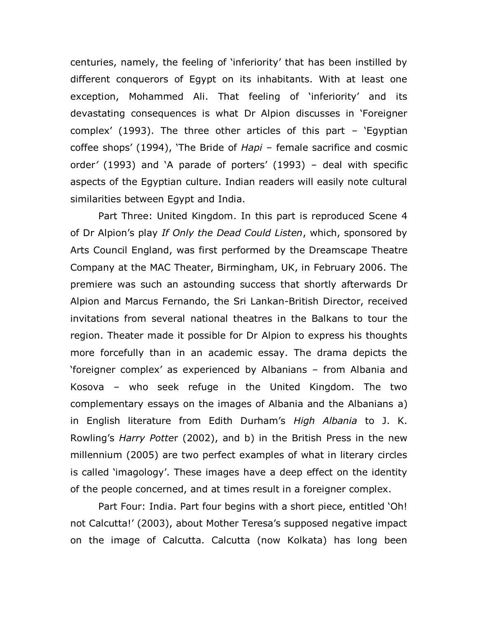centuries, namely, the feeling of 'inferiority' that has been instilled by different conquerors of Egypt on its inhabitants. With at least one exception, Mohammed Ali. That feeling of 'inferiority' and its devastating consequences is what Dr Alpion discusses in 'Foreigner complex' (1993). The three other articles of this part – 'Egyptian coffee shops' (1994), 'The Bride of *Hapi* – female sacrifice and cosmic order*'* (1993) and 'A parade of porters' (1993) – deal with specific aspects of the Egyptian culture. Indian readers will easily note cultural similarities between Egypt and India.

Part Three: United Kingdom. In this part is reproduced Scene 4 of Dr Alpion's play *If Only the Dead Could Listen*, which, sponsored by Arts Council England, was first performed by the Dreamscape Theatre Company at the MAC Theater, Birmingham, UK, in February 2006. The premiere was such an astounding success that shortly afterwards Dr Alpion and Marcus Fernando, the Sri Lankan-British Director, received invitations from several national theatres in the Balkans to tour the region. Theater made it possible for Dr Alpion to express his thoughts more forcefully than in an academic essay. The drama depicts the 'foreigner complex' as experienced by Albanians – from Albania and Kosova – who seek refuge in the United Kingdom. The two complementary essays on the images of Albania and the Albanians a) in English literature from Edith Durham's *High Albania* to J. K. Rowling's *Harry Potte*r (2002), and b) in the British Press in the new millennium (2005) are two perfect examples of what in literary circles is called 'imagology'. These images have a deep effect on the identity of the people concerned, and at times result in a foreigner complex.

Part Four: India. Part four begins with a short piece, entitled 'Oh! not Calcutta!' (2003), about Mother Teresa's supposed negative impact on the image of Calcutta. Calcutta (now Kolkata) has long been